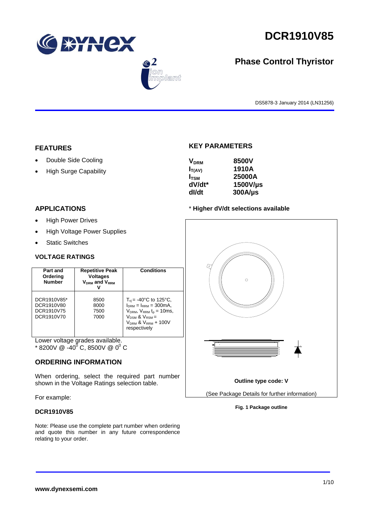





# **Phase Control Thyristor**

DS5878-3 January 2014 (LN31256)

### **FEATURES**

- Double Side Cooling
- High Surge Capability

### **APPLICATIONS**

- High Power Drives
- High Voltage Power Supplies
- Static Switches

### **VOLTAGE RATINGS**

| Part and<br>Ordering<br><b>Number</b>                 | <b>Repetitive Peak</b><br><b>Voltages</b><br>$V_{DRM}$ and $V_{RRM}$ | <b>Conditions</b>                                                                                                                                                                                |
|-------------------------------------------------------|----------------------------------------------------------------------|--------------------------------------------------------------------------------------------------------------------------------------------------------------------------------------------------|
| DCR1910V85*<br>DCR1910V80<br>DCR1910V75<br>DCR1910V70 | 8500<br>8000<br>7500<br>7000                                         | $T_{\rm vi}$ = -40°C to 125°C,<br>$I_{DRM} = I_{RRM} = 300 \text{mA}$<br>$V_{DRM}$ , $V_{RRM}$ t <sub>p</sub> = 10ms,<br>$V_{DSM}$ & $V_{RSM}$ =<br>$V_{DRM}$ & $V_{RRM}$ + 100V<br>respectively |

Lower voltage grades available.

 $*$  8200V @ -40<sup>0</sup> C, 8500V @ 0<sup>0</sup> C

### **ORDERING INFORMATION**

When ordering, select the required part number shown in the Voltage Ratings selection table.

For example:

### **DCR1910V85**

Note: Please use the complete part number when ordering and quote this number in any future correspondence relating to your order.

### **KEY PARAMETERS**

| <b>V<sub>DRM</sub></b> | 8500V        |
|------------------------|--------------|
| $I_{T(AV)}$            | 1910A        |
| $I_{TSM}$              | 25000A       |
| dV/dt*                 | 1500V/µs     |
| dl/dt                  | $300A/\mu s$ |

### \* **Higher dV/dt selections available**



### **Fig. 1 Package outline**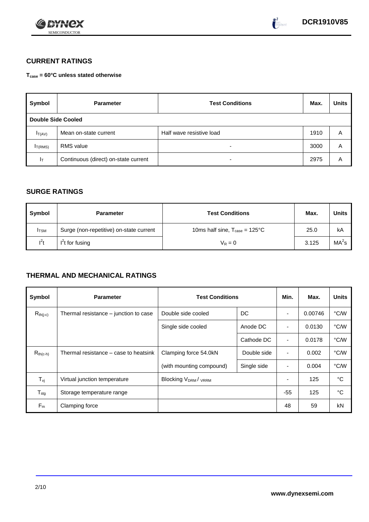



# **CURRENT RATINGS**

**Tcase = 60°C unless stated otherwise**

| Symbol                    | <b>Parameter</b>                     | <b>Test Conditions</b>   |      | <b>Units</b> |
|---------------------------|--------------------------------------|--------------------------|------|--------------|
| <b>Double Side Cooled</b> |                                      |                          |      |              |
| $I_{T(AV)}$               | Mean on-state current                | Half wave resistive load | 1910 | A            |
| I <sub>T(RMS)</sub>       | <b>RMS</b> value                     | -                        | 3000 | Α            |
| Iт                        | Continuous (direct) on-state current |                          | 2975 | Α            |

### **SURGE RATINGS**

| Symbol      | <b>Parameter</b>                        | <b>Test Conditions</b>                            | Max.  | Units             |
|-------------|-----------------------------------------|---------------------------------------------------|-------|-------------------|
| <b>ITSM</b> | Surge (non-repetitive) on-state current | 10ms half sine, $T_{\text{case}} = 125^{\circ}$ C | 25.0  | kA                |
| $l^2t$      | $I2t$ for fusing                        | $V_R = 0$                                         | 3.125 | MA <sup>2</sup> s |

# **THERMAL AND MECHANICAL RATINGS**

| Symbol                         | <b>Parameter</b>                      | <b>Test Conditions</b>                      |             | Min.           | Max.    | <b>Units</b> |
|--------------------------------|---------------------------------------|---------------------------------------------|-------------|----------------|---------|--------------|
| $R_{th(j-c)}$                  | Thermal resistance – junction to case | DC<br>Double side cooled                    |             |                | 0.00746 | °C/W         |
|                                |                                       | Single side cooled                          | Anode DC    | ٠              | 0.0130  | °C/W         |
|                                |                                       |                                             | Cathode DC  | $\blacksquare$ | 0.0178  | °C/W         |
| $R_{th(c-h)}$                  | Thermal resistance – case to heatsink | Clamping force 54.0kN<br>Double side        |             | $\blacksquare$ | 0.002   | °C/W         |
|                                |                                       | (with mounting compound)                    | Single side |                | 0.004   | °C/W         |
| $T_{\rm\scriptscriptstyle VI}$ | Virtual junction temperature          | Blocking V <sub>DRM</sub> / <sub>VRRM</sub> |             |                | 125     | °C           |
| $T_{\text{stg}}$               | Storage temperature range             |                                             |             | $-55$          | 125     | °C           |
| $F_m$                          | Clamping force                        |                                             |             | 48             | 59      | kN           |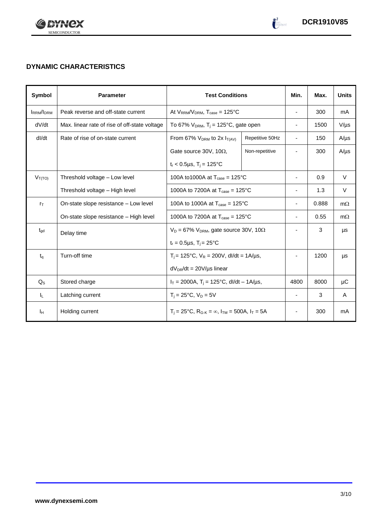

# **DYNAMIC CHARACTERISTICS**

| Symbol           | <b>Parameter</b>                              |                                                                         | <b>Test Conditions</b> |                          | Max.  | <b>Units</b> |
|------------------|-----------------------------------------------|-------------------------------------------------------------------------|------------------------|--------------------------|-------|--------------|
| <b>IRRM/IDRM</b> | Peak reverse and off-state current            | At $V_{RRM}/V_{DRM}$ , $T_{case} = 125^{\circ}C$                        |                        | $\overline{\phantom{a}}$ | 300   | mA           |
| dV/dt            | Max. linear rate of rise of off-state voltage | To 67% $V_{DRM}$ , T <sub>i</sub> = 125°C, gate open                    |                        | $\overline{\phantom{a}}$ | 1500  | $V/\mu s$    |
| dl/dt            | Rate of rise of on-state current              | From 67% $V_{DRM}$ to 2x $I_{T(AV)}$                                    | Repetitive 50Hz        | $\overline{\phantom{a}}$ | 150   | $A/\mu s$    |
|                  |                                               | Gate source 30V, 10 $\Omega$ ,                                          | Non-repetitive         |                          | 300   | $A/\mu s$    |
|                  |                                               | $t_r < 0.5 \mu s$ , $T_i = 125$ °C                                      |                        |                          |       |              |
| $V_{T(TO)}$      | Threshold voltage - Low level                 | 100A to1000A at $T_{\text{case}} = 125^{\circ}C$                        |                        | $\blacksquare$           | 0.9   | $\vee$       |
|                  | Threshold voltage - High level                | 1000A to 7200A at $T_{\text{case}} = 125^{\circ}C$                      |                        | $\overline{\phantom{a}}$ | 1.3   | $\vee$       |
| $r_{\text{T}}$   | On-state slope resistance - Low level         | 100A to 1000A at $T_{\text{case}} = 125^{\circ}$ C                      |                        | $\overline{\phantom{a}}$ | 0.888 | $m\Omega$    |
|                  | On-state slope resistance - High level        | 1000A to 7200A at $T_{\text{case}} = 125^{\circ}C$                      |                        | $\overline{\phantom{a}}$ | 0.55  | $m\Omega$    |
| $t_{\text{qd}}$  | Delay time                                    | $V_D = 67\%$ V <sub>DRM</sub> , gate source 30V, 10 $\Omega$            |                        |                          | 3     | μs           |
|                  |                                               | $t_r = 0.5 \mu s$ , $T_i = 25^{\circ}C$                                 |                        |                          |       |              |
| $t_{q}$          | Turn-off time                                 | $T_i$ = 125°C, $V_R$ = 200V, dl/dt = 1A/µs,                             |                        |                          | 1200  | μs           |
|                  |                                               | $dV_{DR}/dt = 20V/\mu s$ linear                                         |                        |                          |       |              |
| $Q_{\rm S}$      | Stored charge                                 | $I_T = 2000A$ , $T_i = 125^{\circ}C$ , dl/dt – 1A/µs,                   |                        | 4800                     | 8000  | μC           |
| IL.              | Latching current                              | $T_i = 25^{\circ}C$ , $V_D = 5V$                                        |                        | $\overline{\phantom{a}}$ | 3     | A            |
| Iн               | Holding current                               | $T_i = 25^{\circ}C$ , $R_{G-K} = \infty$ , $I_{TM} = 500A$ , $I_T = 5A$ |                        |                          | 300   | mA           |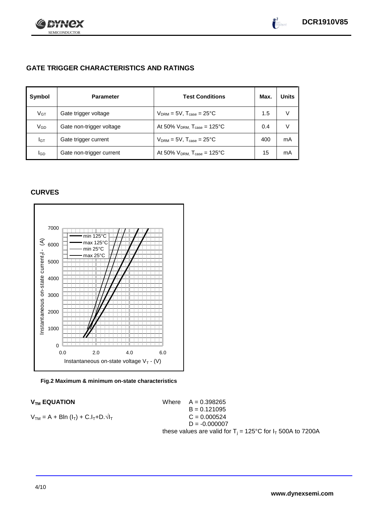

 $\bullet^2$ 

# **GATE TRIGGER CHARACTERISTICS AND RATINGS**

| Symbol          | <b>Parameter</b>         | <b>Test Conditions</b>                       | Max. | <b>Units</b> |
|-----------------|--------------------------|----------------------------------------------|------|--------------|
| V <sub>GT</sub> | Gate trigger voltage     | $V_{DRM} = 5V$ , $T_{case} = 25^{\circ}C$    | 1.5  | V            |
| VGD             | Gate non-trigger voltage | At 50% $V_{DRM}$ , $T_{case} = 125^{\circ}C$ | 0.4  | V            |
| IGТ             | Gate trigger current     | $V_{DRM}$ = 5V, $T_{case}$ = 25°C            | 400  | mA           |
| lgd             | Gate non-trigger current | At 50% $V_{DRM}$ , $T_{case} = 125$ °C       | 15   | mA           |

## **CURVES**



### **Fig.2 Maximum & minimum on-state characteristics**

 $V_{TM}$  **EQUATION** Where  $A = 0.398265$  $B = 0.121095$  $V_{TM} = A + B\ln(I_T) + C.I_T + D.\sqrt{I_T}$  C = 0.000524  $D = -0.000007$ these values are valid for  $T_i = 125^{\circ}$ C for  $I_T$  500A to 7200A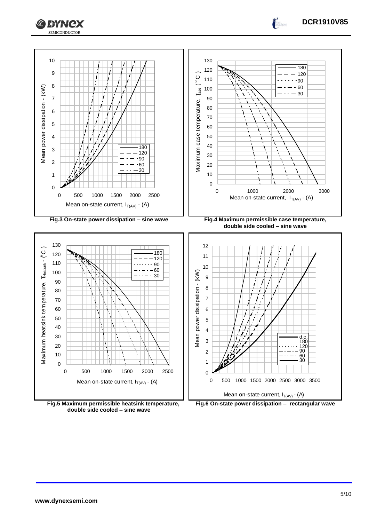



**Fig.5 Maximum permissible heatsink temperature, double side cooled – sine wave**



**DCR1910V85**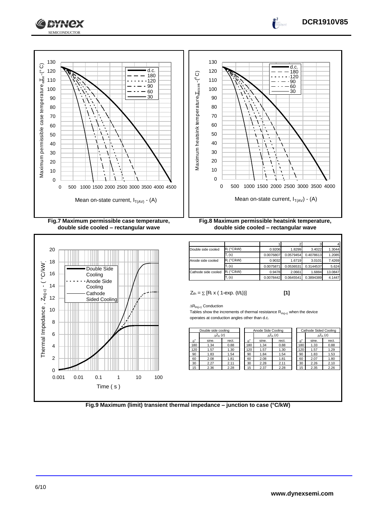



**double side cooled – rectangular wave**



1 2 3 4 **Double side cooled**  $R_i$  (°C/kW) 0.9206 1.8299 3.4022 1.3044  $T_i(s)$ 0.0076807 0.0579454 0.4078613 1.208 node side cooled  $R_i$  (°C/kW)  $\begin{array}{|c|c|c|c|c|c|c|c|} \hline 0.9032 & 1.6719 & 3.0101 & 7.4269 \ \hline \end{array}$  $\overline{I_i(s)}$  (s) 0.0075871 0.0536531 0.3144537 5.624 cathode side cooled  $R_i$  (°C/kW)  $0.9478$  2.0661 1.6884 13.084  $\overline{I}$ : (s) (s) 0.0078442 0.0645541 0.3894389 4.1447

 $Z_{\text{th}} = \sum [R_i \times (1 - \exp. (t/t_i))]$  [1]

**DCR1910V85**

 $\int_0^2$ 

 $\Delta R_{th(i-c)}$  Conduction

Tables show the increments of thermal resistance  $R_{th(j-c)}$  when the device operates at conduction angles other than d.c.

| Double side cooling |                     | Anode Side Cooling |                  |                            |       | Cathode Sided Cooling |             |       |                     |
|---------------------|---------------------|--------------------|------------------|----------------------------|-------|-----------------------|-------------|-------|---------------------|
|                     | $\Delta Z_{th}$ (z) |                    |                  | $\Delta Z_{\text{th}}$ (z) |       |                       |             |       | $\Delta Z_{th}$ (z) |
| $\theta^{\circ}$    | sine.               | rect.              | $\theta^{\circ}$ | sine.                      | rect. |                       | $A^{\circ}$ | sine. | rect.               |
| 180                 | 1.34                | 0.88               | 180              | 1.34                       | 0.88  |                       | 180         | 1.33  | 0.88                |
| 120                 | 1.57                | 1.30               | 120              | 1.57                       | 1.30  |                       | 120         | 1.57  | 1.29                |
| 90                  | 1.83                | 1.54               | 90               | 1.84                       | 1.54  |                       | 90          | 1.83  | 1.53                |
| 60                  | 2.08                | 1.81               | 60               | 2.08                       | 1.81  |                       | 60          | 2.07  | 1.80                |
| 30                  | 2.27                | 2.11               | 30               | 2.28                       | 2.11  |                       | 30          | 2.26  | 2.10                |
| 15                  | 2.36                | 2.28               | 15               | 2.37                       | 2.28  |                       | 15          | 2.35  | 2.26                |
|                     |                     |                    |                  |                            |       |                       |             |       |                     |

**Fig.9 Maximum (limit) transient thermal impedance – junction to case (°C/kW)**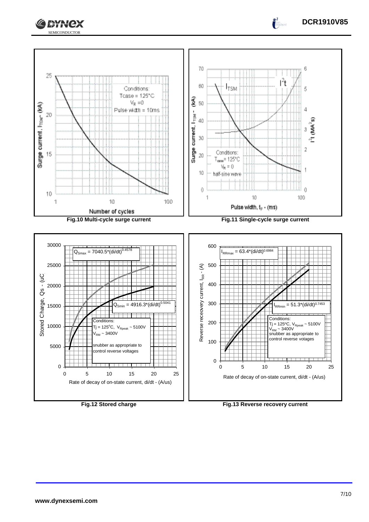



**DCR1910V85**

 $\int_0^2$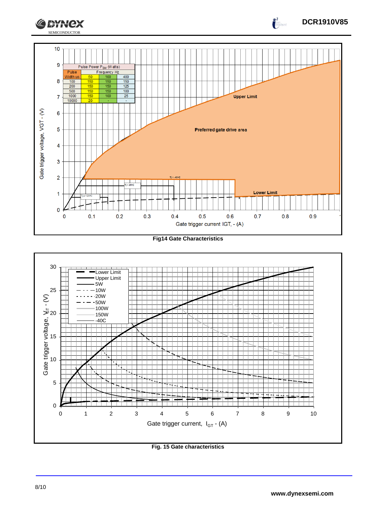



## **Fig. 15 Gate characteristics**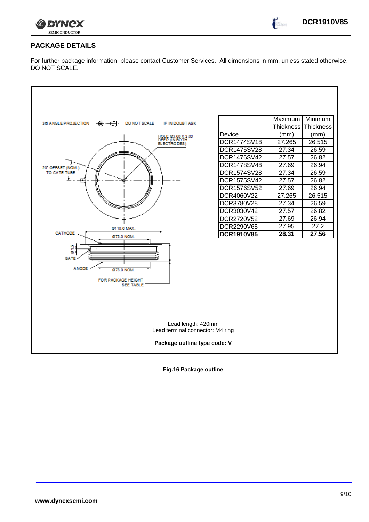

 $\int_0^2$ 

### **PACKAGE DETAILS**

For further package information, please contact Customer Services. All dimensions in mm, unless stated otherwise. DO NOT SCALE.



**Fig.16 Package outline**